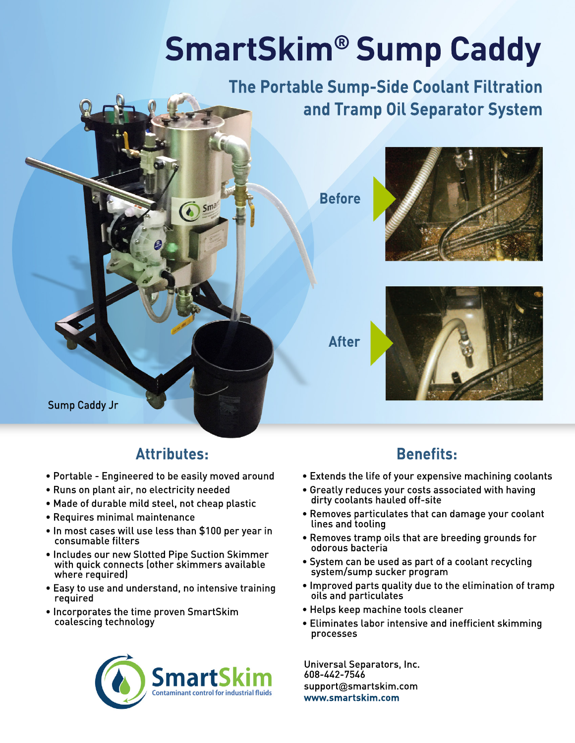# **SmartSkim® Sump Caddy**

**The Portable Sump-Side Coolant Filtration and Tramp Oil Separator System**

**Before**



**After**



Sump Caddy Jr

## **Attributes:**

 $\sum \frac{Sma^{n}}{n}$ 

- Portable Engineered to be easily moved around
- Runs on plant air, no electricity needed
- Made of durable mild steel, not cheap plastic
- Requires minimal maintenance
- In most cases will use less than \$100 per year in consumable filters
- Includes our new Slotted Pipe Suction Skimmer with quick connects (other skimmers available where required)
- Easy to use and understand, no intensive training required
- Incorporates the time proven SmartSkim coalescing technology



# **Benefits:**

- Extends the life of your expensive machining coolants
- Greatly reduces your costs associated with having dirty coolants hauled off-site
- Removes particulates that can damage your coolant lines and tooling
- Removes tramp oils that are breeding grounds for odorous bacteria
- System can be used as part of a coolant recycling system/sump sucker program
- Improved parts quality due to the elimination of tramp oils and particulates
- Helps keep machine tools cleaner
- Eliminates labor intensive and inefficient skimming processes

608-442-7546 support@smartskim.com **www.smartskim.com** Universal Separators, Inc.